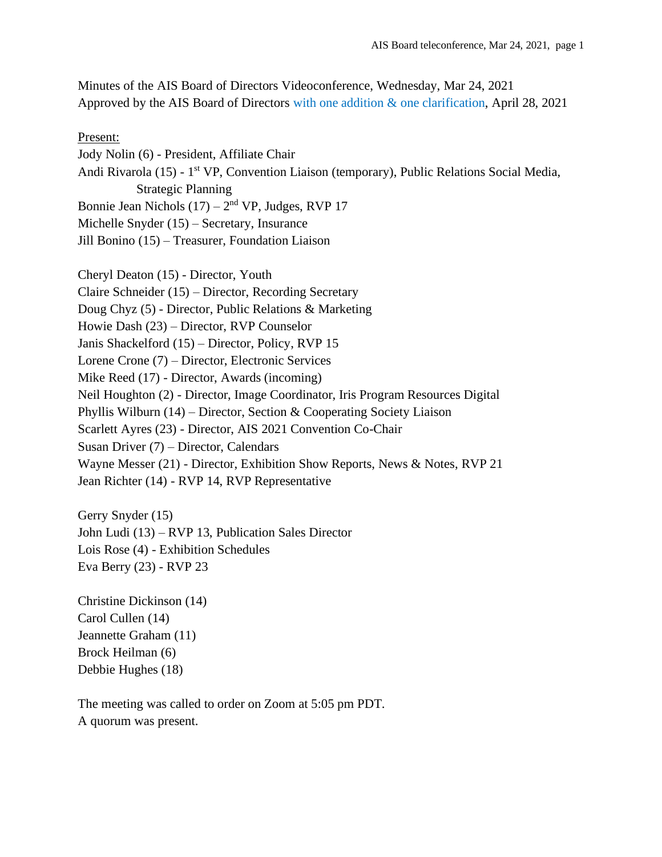Minutes of the AIS Board of Directors Videoconference, Wednesday, Mar 24, 2021 Approved by the AIS Board of Directors with one addition & one clarification, April 28, 2021

#### Present:

Jody Nolin (6) - President, Affiliate Chair Andi Rivarola (15) - 1<sup>st</sup> VP, Convention Liaison (temporary), Public Relations Social Media, Strategic Planning Bonnie Jean Nichols  $(17) - 2<sup>nd</sup> VP$ , Judges, RVP 17 Michelle Snyder (15) – Secretary, Insurance Jill Bonino (15) – Treasurer, Foundation Liaison

Cheryl Deaton (15) - Director, Youth Claire Schneider (15) – Director, Recording Secretary Doug Chyz (5) - Director, Public Relations & Marketing Howie Dash (23) – Director, RVP Counselor Janis Shackelford (15) – Director, Policy, RVP 15 Lorene Crone (7) – Director, Electronic Services Mike Reed (17) - Director, Awards (incoming) Neil Houghton (2) - Director, Image Coordinator, Iris Program Resources Digital Phyllis Wilburn (14) – Director, Section & Cooperating Society Liaison Scarlett Ayres (23) - Director, AIS 2021 Convention Co-Chair Susan Driver (7) – Director, Calendars Wayne Messer (21) - Director, Exhibition Show Reports, News & Notes, RVP 21 Jean Richter (14) - RVP 14, RVP Representative

Gerry Snyder (15) John Ludi (13) – RVP 13, Publication Sales Director Lois Rose (4) - Exhibition Schedules Eva Berry (23) - RVP 23

Christine Dickinson (14) Carol Cullen (14) Jeannette Graham (11) Brock Heilman (6) Debbie Hughes (18)

The meeting was called to order on Zoom at 5:05 pm PDT. A quorum was present.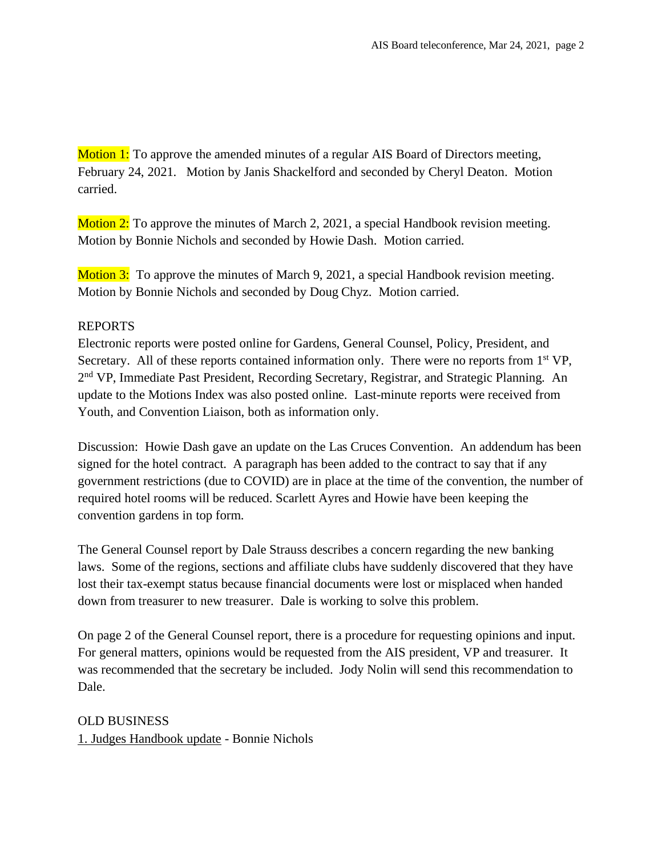Motion 1: To approve the amended minutes of a regular AIS Board of Directors meeting, February 24, 2021. Motion by Janis Shackelford and seconded by Cheryl Deaton. Motion carried.

Motion 2: To approve the minutes of March 2, 2021, a special Handbook revision meeting. Motion by Bonnie Nichols and seconded by Howie Dash. Motion carried.

Motion 3: To approve the minutes of March 9, 2021, a special Handbook revision meeting. Motion by Bonnie Nichols and seconded by Doug Chyz. Motion carried.

#### REPORTS

Electronic reports were posted online for Gardens, General Counsel, Policy, President, and Secretary. All of these reports contained information only. There were no reports from 1<sup>st</sup> VP, 2<sup>nd</sup> VP, Immediate Past President, Recording Secretary, Registrar, and Strategic Planning. An update to the Motions Index was also posted online. Last-minute reports were received from Youth, and Convention Liaison, both as information only.

Discussion: Howie Dash gave an update on the Las Cruces Convention. An addendum has been signed for the hotel contract. A paragraph has been added to the contract to say that if any government restrictions (due to COVID) are in place at the time of the convention, the number of required hotel rooms will be reduced. Scarlett Ayres and Howie have been keeping the convention gardens in top form.

The General Counsel report by Dale Strauss describes a concern regarding the new banking laws. Some of the regions, sections and affiliate clubs have suddenly discovered that they have lost their tax-exempt status because financial documents were lost or misplaced when handed down from treasurer to new treasurer. Dale is working to solve this problem.

On page 2 of the General Counsel report, there is a procedure for requesting opinions and input. For general matters, opinions would be requested from the AIS president, VP and treasurer. It was recommended that the secretary be included. Jody Nolin will send this recommendation to Dale.

OLD BUSINESS 1. Judges Handbook update - Bonnie Nichols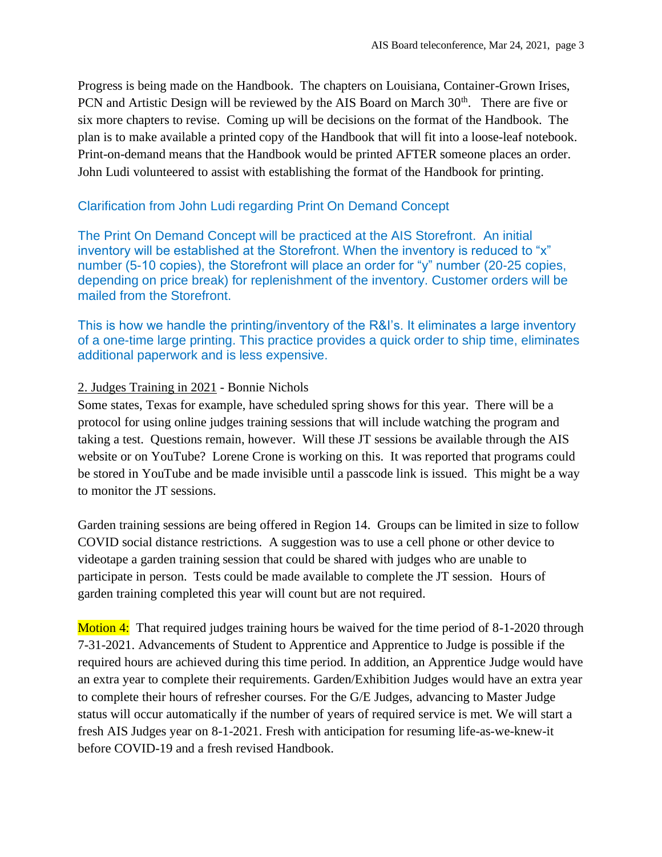Progress is being made on the Handbook. The chapters on Louisiana, Container-Grown Irises, PCN and Artistic Design will be reviewed by the AIS Board on March  $30<sup>th</sup>$ . There are five or six more chapters to revise. Coming up will be decisions on the format of the Handbook. The plan is to make available a printed copy of the Handbook that will fit into a loose-leaf notebook. Print-on-demand means that the Handbook would be printed AFTER someone places an order. John Ludi volunteered to assist with establishing the format of the Handbook for printing.

# Clarification from John Ludi regarding Print On Demand Concept

The Print On Demand Concept will be practiced at the AIS Storefront. An initial inventory will be established at the Storefront. When the inventory is reduced to "x" number (5-10 copies), the Storefront will place an order for "y" number (20-25 copies, depending on price break) for replenishment of the inventory. Customer orders will be mailed from the Storefront.

This is how we handle the printing/inventory of the R&I's. It eliminates a large inventory of a one-time large printing. This practice provides a quick order to ship time, eliminates additional paperwork and is less expensive.

## 2. Judges Training in 2021 - Bonnie Nichols

Some states, Texas for example, have scheduled spring shows for this year. There will be a protocol for using online judges training sessions that will include watching the program and taking a test. Questions remain, however. Will these JT sessions be available through the AIS website or on YouTube? Lorene Crone is working on this. It was reported that programs could be stored in YouTube and be made invisible until a passcode link is issued. This might be a way to monitor the JT sessions.

Garden training sessions are being offered in Region 14. Groups can be limited in size to follow COVID social distance restrictions. A suggestion was to use a cell phone or other device to videotape a garden training session that could be shared with judges who are unable to participate in person. Tests could be made available to complete the JT session. Hours of garden training completed this year will count but are not required.

Motion 4: That required judges training hours be waived for the time period of 8-1-2020 through 7-31-2021. Advancements of Student to Apprentice and Apprentice to Judge is possible if the required hours are achieved during this time period. In addition, an Apprentice Judge would have an extra year to complete their requirements. Garden/Exhibition Judges would have an extra year to complete their hours of refresher courses. For the G/E Judges, advancing to Master Judge status will occur automatically if the number of years of required service is met. We will start a fresh AIS Judges year on 8-1-2021. Fresh with anticipation for resuming life-as-we-knew-it before COVID-19 and a fresh revised Handbook.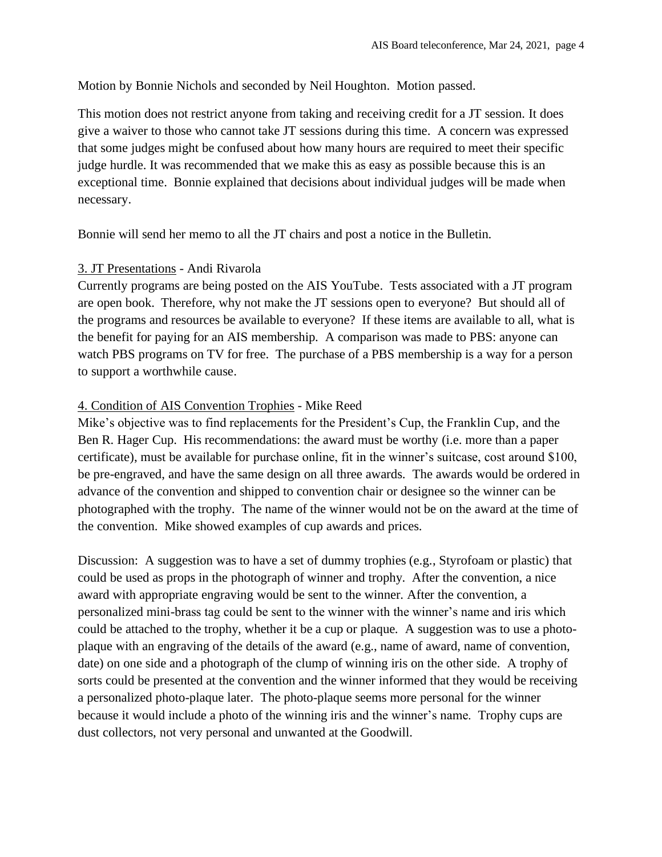Motion by Bonnie Nichols and seconded by Neil Houghton. Motion passed.

This motion does not restrict anyone from taking and receiving credit for a JT session. It does give a waiver to those who cannot take JT sessions during this time. A concern was expressed that some judges might be confused about how many hours are required to meet their specific judge hurdle. It was recommended that we make this as easy as possible because this is an exceptional time. Bonnie explained that decisions about individual judges will be made when necessary.

Bonnie will send her memo to all the JT chairs and post a notice in the Bulletin.

### 3. JT Presentations - Andi Rivarola

Currently programs are being posted on the AIS YouTube. Tests associated with a JT program are open book. Therefore, why not make the JT sessions open to everyone? But should all of the programs and resources be available to everyone? If these items are available to all, what is the benefit for paying for an AIS membership. A comparison was made to PBS: anyone can watch PBS programs on TV for free. The purchase of a PBS membership is a way for a person to support a worthwhile cause.

## 4. Condition of AIS Convention Trophies - Mike Reed

Mike's objective was to find replacements for the President's Cup, the Franklin Cup, and the Ben R. Hager Cup. His recommendations: the award must be worthy (i.e. more than a paper certificate), must be available for purchase online, fit in the winner's suitcase, cost around \$100, be pre-engraved, and have the same design on all three awards. The awards would be ordered in advance of the convention and shipped to convention chair or designee so the winner can be photographed with the trophy. The name of the winner would not be on the award at the time of the convention. Mike showed examples of cup awards and prices.

Discussion: A suggestion was to have a set of dummy trophies (e.g., Styrofoam or plastic) that could be used as props in the photograph of winner and trophy. After the convention, a nice award with appropriate engraving would be sent to the winner. After the convention, a personalized mini-brass tag could be sent to the winner with the winner's name and iris which could be attached to the trophy, whether it be a cup or plaque. A suggestion was to use a photoplaque with an engraving of the details of the award (e.g., name of award, name of convention, date) on one side and a photograph of the clump of winning iris on the other side. A trophy of sorts could be presented at the convention and the winner informed that they would be receiving a personalized photo-plaque later. The photo-plaque seems more personal for the winner because it would include a photo of the winning iris and the winner's name. Trophy cups are dust collectors, not very personal and unwanted at the Goodwill.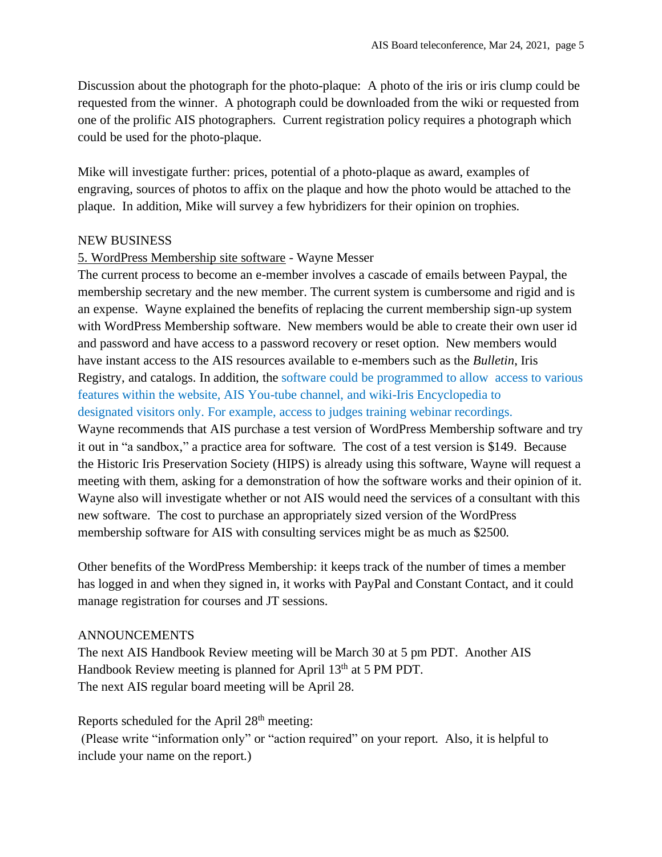Discussion about the photograph for the photo-plaque: A photo of the iris or iris clump could be requested from the winner. A photograph could be downloaded from the wiki or requested from one of the prolific AIS photographers. Current registration policy requires a photograph which could be used for the photo-plaque.

Mike will investigate further: prices, potential of a photo-plaque as award, examples of engraving, sources of photos to affix on the plaque and how the photo would be attached to the plaque. In addition, Mike will survey a few hybridizers for their opinion on trophies.

#### NEW BUSINESS

#### 5. WordPress Membership site software - Wayne Messer

The current process to become an e-member involves a cascade of emails between Paypal, the membership secretary and the new member. The current system is cumbersome and rigid and is an expense. Wayne explained the benefits of replacing the current membership sign-up system with WordPress Membership software. New members would be able to create their own user id and password and have access to a password recovery or reset option. New members would have instant access to the AIS resources available to e-members such as the *Bulletin*, Iris Registry, and catalogs. In addition, the software could be programmed to allow access to various features within the website, AIS You-tube channel, and wiki-Iris Encyclopedia to designated visitors only. For example, access to judges training webinar recordings. Wayne recommends that AIS purchase a test version of WordPress Membership software and try it out in "a sandbox," a practice area for software. The cost of a test version is \$149. Because the Historic Iris Preservation Society (HIPS) is already using this software, Wayne will request a meeting with them, asking for a demonstration of how the software works and their opinion of it. Wayne also will investigate whether or not AIS would need the services of a consultant with this new software. The cost to purchase an appropriately sized version of the WordPress membership software for AIS with consulting services might be as much as \$2500.

Other benefits of the WordPress Membership: it keeps track of the number of times a member has logged in and when they signed in, it works with PayPal and Constant Contact, and it could manage registration for courses and JT sessions.

#### ANNOUNCEMENTS

The next AIS Handbook Review meeting will be March 30 at 5 pm PDT. Another AIS Handbook Review meeting is planned for April 13<sup>th</sup> at 5 PM PDT. The next AIS regular board meeting will be April 28.

Reports scheduled for the April 28<sup>th</sup> meeting:

(Please write "information only" or "action required" on your report. Also, it is helpful to include your name on the report.)